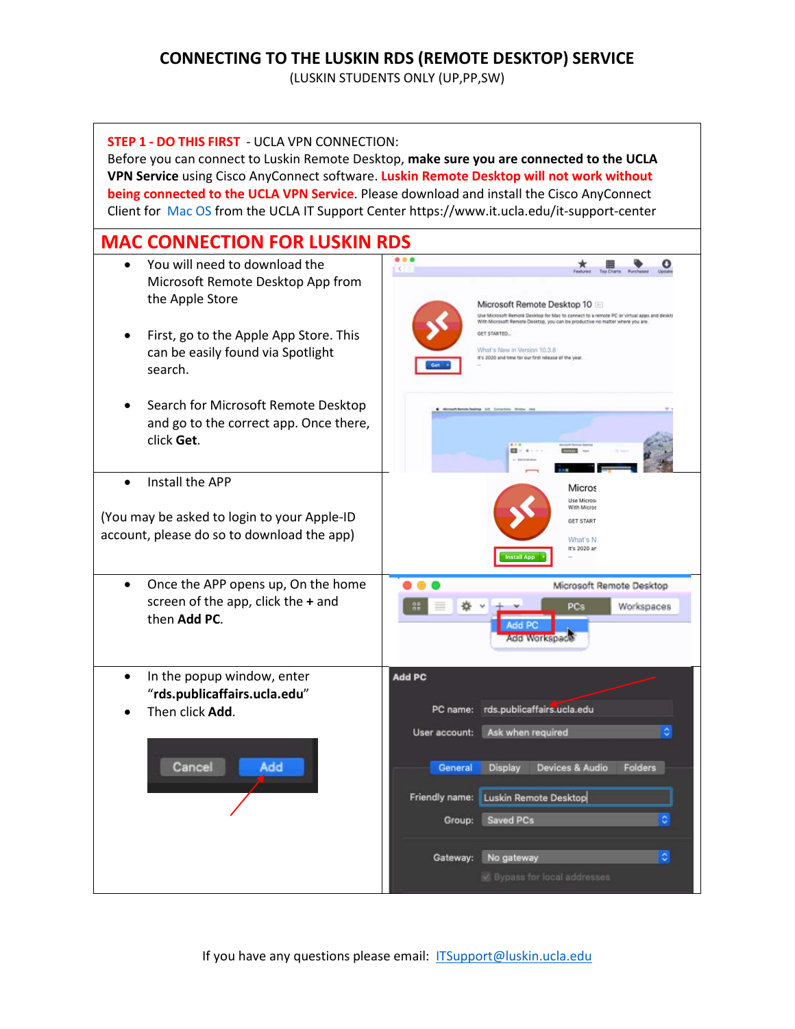## **CONNECTING TO THE LUSKIN RDS (REMOTE DESKTOP) SERVICE**

(LUSKIN STUDENTS ONLY (UP,PP,SW)